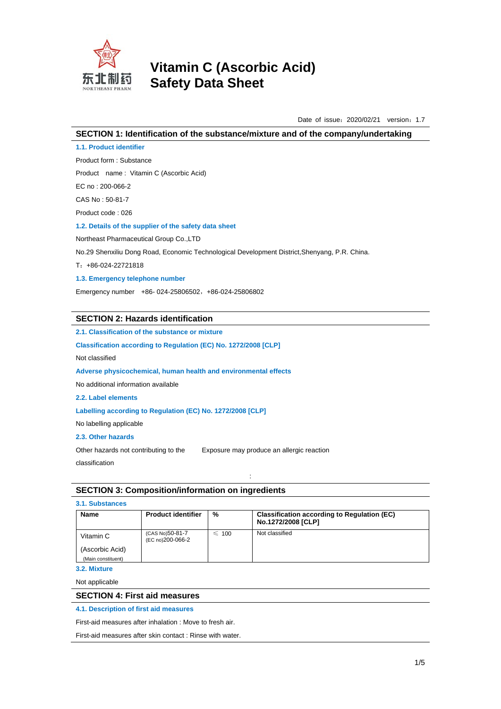

Date of issue: 2020/02/21 version: 1.7

### **SECTION 1: Identification of the substance/mixture and of the company/undertaking**

**1.1. Product identifier** 

Product form : Substance

Product name : Vitamin C (Ascorbic Acid)

EC no : 200-066-2

CAS No : 50-81-7

Product code : 026

#### **1.2. Details of the supplier of the safety data sheet**

Northeast Pharmaceutical Group Co.,LTD

No.29 Shenxiliu Dong Road, Economic Technological Development District,Shenyang, P.R. China.

T:+86-024-22721818

**1.3. Emergency telephone number** 

Emergency number +86- 024-25806502,+86-024-25806802

## **SECTION 2: Hazards identification**

**2.1. Classification of the substance or mixture** 

**Classification according to Regulation (EC) No. 1272/2008 [CLP]** 

Not classified

**Adverse physicochemical, human health and environmental effects** 

No additional information available

**2.2. Label elements** 

**Labelling according to Regulation (EC) No. 1272/2008 [CLP]** 

No labelling applicable

### **2.3. Other hazards**

Other hazards not contributing to the Exposure may produce an allergic reaction

classification

:

## **SECTION 3: Composition/information on ingredients**

# **3.1. Substances**

| <b>Name</b>        | <b>Product identifier</b>           | %          | <b>Classification according to Regulation (EC)</b><br>No.1272/2008 [CLP] |
|--------------------|-------------------------------------|------------|--------------------------------------------------------------------------|
| Vitamin C          | (CAS No)50-81-7<br>(EC no)200-066-2 | $\leq 100$ | Not classified                                                           |
| (Ascorbic Acid)    |                                     |            |                                                                          |
| (Main constituent) |                                     |            |                                                                          |

**3.2. Mixture**

Not applicable

## **SECTION 4: First aid measures**

### **4.1. Description of first aid measures**

First-aid measures after inhalation : Move to fresh air.

First-aid measures after skin contact : Rinse with water.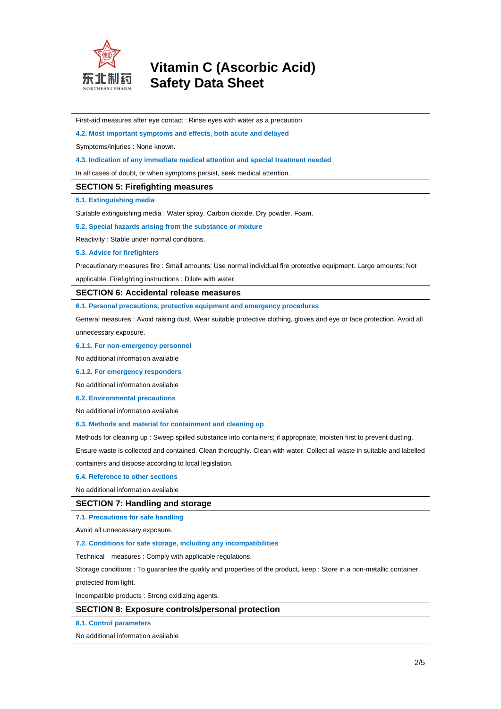

First-aid measures after eye contact : Rinse eyes with water as a precaution

**4.2. Most important symptoms and effects, both acute and delayed** 

Symptoms/injuries : None known.

**4.3. Indication of any immediate medical attention and special treatment needed** 

In all cases of doubt, or when symptoms persist, seek medical attention.

#### **SECTION 5: Firefighting measures**

**5.1. Extinguishing media** 

Suitable extinguishing media : Water spray. Carbon dioxide. Dry powder. Foam.

**5.2. Special hazards arising from the substance or mixture** 

Reactivity : Stable under normal conditions.

#### **5.3. Advice for firefighters**

Precautionary measures fire : Small amounts: Use normal individual fire protective equipment. Large amounts: Not applicable .Firefighting instructions : Dilute with water.

#### **SECTION 6: Accidental release measures**

**6.1. Personal precautions, protective equipment and emergency procedures** 

General measures : Avoid raising dust. Wear suitable protective clothing, gloves and eye or face protection. Avoid all unnecessary exposure.

**6.1.1. For non-emergency personnel** 

No additional information available

#### **6.1.2. For emergency responders**

No additional information available

**6.2. Environmental precautions** 

No additional information available

#### **6.3. Methods and material for containment and cleaning up**

Methods for cleaning up : Sweep spilled substance into containers; if appropriate, moisten first to prevent dusting. Ensure waste is collected and contained. Clean thoroughly. Clean with water. Collect all waste in suitable and labelled containers and dispose according to local legislation.

#### **6.4. Reference to other sections**

No additional information available

## **SECTION 7: Handling and storage**

**7.1. Precautions for safe handling** 

Avoid all unnecessary exposure.

#### **7.2. Conditions for safe storage, including any incompatibilities**

Technical measures : Comply with applicable regulations.

Storage conditions : To guarantee the quality and properties of the product, keep : Store in a non-metallic container,

protected from light.

Incompatible products : Strong oxidizing agents.

### **SECTION 8: Exposure controls/personal protection**

**8.1. Control parameters** 

No additional information available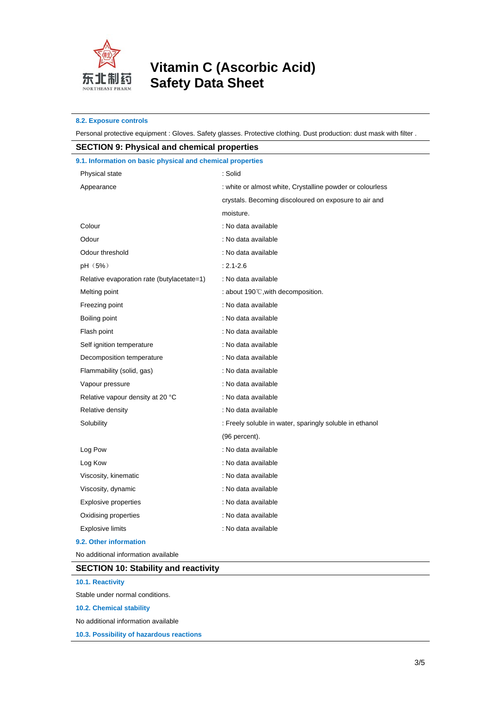

### **8.2. Exposure controls**

Personal protective equipment : Gloves. Safety glasses. Protective clothing. Dust production: dust mask with filter .

| <b>SECTION 9: Physical and chemical properties</b>         |                                                           |  |  |  |
|------------------------------------------------------------|-----------------------------------------------------------|--|--|--|
| 9.1. Information on basic physical and chemical properties |                                                           |  |  |  |
| Physical state                                             | : Solid                                                   |  |  |  |
| Appearance                                                 | : white or almost white, Crystalline powder or colourless |  |  |  |
|                                                            | crystals. Becoming discoloured on exposure to air and     |  |  |  |
|                                                            | moisture.                                                 |  |  |  |
| Colour                                                     | : No data available                                       |  |  |  |
| Odour                                                      | : No data available                                       |  |  |  |
| Odour threshold                                            | : No data available                                       |  |  |  |
| pH (5%)                                                    | $: 2.1 - 2.6$                                             |  |  |  |
| Relative evaporation rate (butylacetate=1)                 | : No data available                                       |  |  |  |
| Melting point                                              | : about 190°C, with decomposition.                        |  |  |  |
| Freezing point                                             | : No data available                                       |  |  |  |
| Boiling point                                              | : No data available                                       |  |  |  |
| Flash point                                                | : No data available                                       |  |  |  |
| Self ignition temperature                                  | : No data available                                       |  |  |  |
| Decomposition temperature                                  | : No data available                                       |  |  |  |
| Flammability (solid, gas)                                  | : No data available                                       |  |  |  |
| Vapour pressure                                            | : No data available                                       |  |  |  |
| Relative vapour density at 20 °C                           | : No data available                                       |  |  |  |
| Relative density                                           | : No data available                                       |  |  |  |
| Solubility                                                 | : Freely soluble in water, sparingly soluble in ethanol   |  |  |  |
|                                                            | (96 percent).                                             |  |  |  |
| Log Pow                                                    | : No data available                                       |  |  |  |
| Log Kow                                                    | : No data available                                       |  |  |  |
| Viscosity, kinematic                                       | : No data available                                       |  |  |  |
| Viscosity, dynamic                                         | : No data available                                       |  |  |  |
| <b>Explosive properties</b>                                | : No data available                                       |  |  |  |
| Oxidising properties                                       | : No data available                                       |  |  |  |
| <b>Explosive limits</b>                                    | : No data available                                       |  |  |  |
| 9.2. Other information                                     |                                                           |  |  |  |

No additional information available

## **SECTION 10: Stability and reactivity**

**10.1. Reactivity** 

Stable under normal conditions.

## **10.2. Chemical stability**

No additional information available

**10.3. Possibility of hazardous reactions**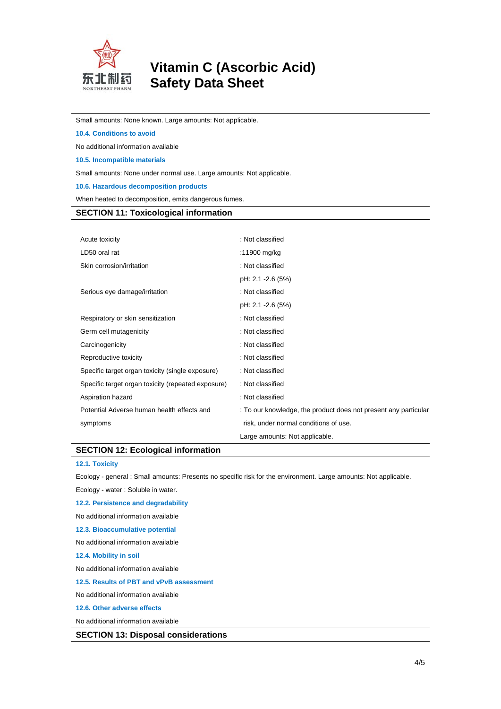

Small amounts: None known. Large amounts: Not applicable.

**10.4. Conditions to avoid** 

No additional information available

**10.5. Incompatible materials** 

Small amounts: None under normal use. Large amounts: Not applicable.

**10.6. Hazardous decomposition products** 

When heated to decomposition, emits dangerous fumes.

## **SECTION 11: Toxicological information**

| Acute toxicity                                     | : Not classified                                                |
|----------------------------------------------------|-----------------------------------------------------------------|
| LD50 oral rat                                      | :11900 mg/kg                                                    |
| Skin corrosion/irritation                          | : Not classified                                                |
|                                                    | pH: 2.1 -2.6 (5%)                                               |
| Serious eye damage/irritation                      | : Not classified                                                |
|                                                    | pH: 2.1 -2.6 (5%)                                               |
| Respiratory or skin sensitization                  | : Not classified                                                |
| Germ cell mutagenicity                             | : Not classified                                                |
| Carcinogenicity                                    | : Not classified                                                |
| Reproductive toxicity                              | : Not classified                                                |
| Specific target organ toxicity (single exposure)   | : Not classified                                                |
| Specific target organ toxicity (repeated exposure) | : Not classified                                                |
| Aspiration hazard                                  | : Not classified                                                |
| Potential Adverse human health effects and         | : To our knowledge, the product does not present any particular |
| symptoms                                           | risk, under normal conditions of use.                           |
|                                                    | Large amounts: Not applicable.                                  |

## **SECTION 12: Ecological information**

## **12.1. Toxicity**

Ecology - general : Small amounts: Presents no specific risk for the environment. Large amounts: Not applicable.

Ecology - water : Soluble in water.

**12.2. Persistence and degradability** 

No additional information available

**12.3. Bioaccumulative potential** 

No additional information available

**12.4. Mobility in soil** 

No additional information available

**12.5. Results of PBT and vPvB assessment** 

No additional information available

#### **12.6. Other adverse effects**

No additional information available

**SECTION 13: Disposal considerations**